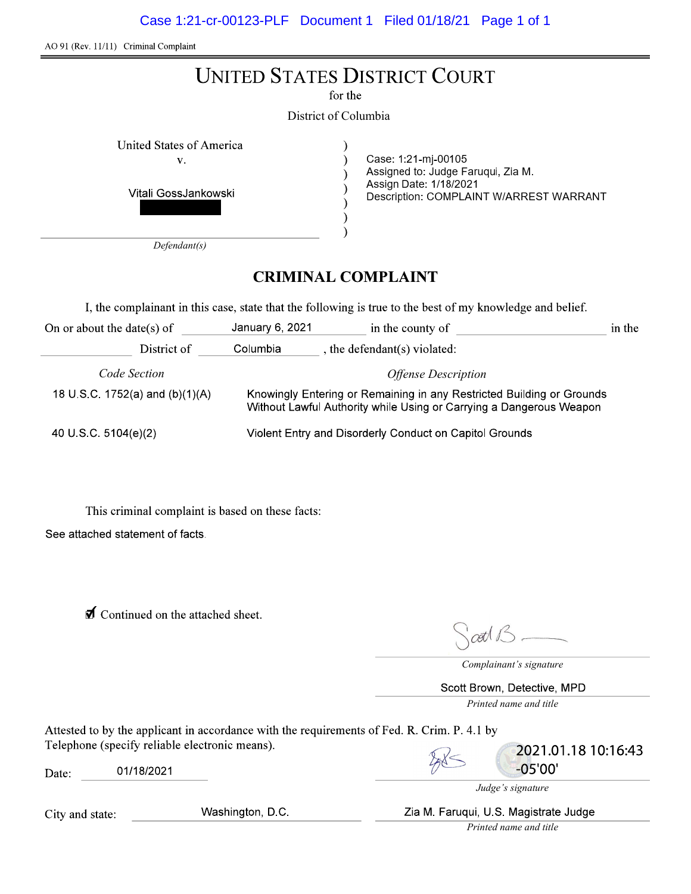Case 1:21-cr-00123-PLF Document 1 Filed 01/18/21 Page 1 of 1

AO 91 (Rev. 11/11) Criminal Complaint

| <b>UNITED STATES DISTRICT COURT</b><br>for the<br>District of Columbia                                                                                 |                                                                                                                                |
|--------------------------------------------------------------------------------------------------------------------------------------------------------|--------------------------------------------------------------------------------------------------------------------------------|
| United States of America<br>V.<br>Vitali GossJankowski                                                                                                 | Case: 1:21-mj-00105<br>Assigned to: Judge Faruqui, Zia M.<br>Assign Date: 1/18/2021<br>Description: COMPLAINT W/ARREST WARRANT |
| Defendant(s)<br><b>CRIMINAL COMPLAINT</b><br>I, the complainant in this case, state that the following is true to the best of my knowledge and belief. |                                                                                                                                |

On or about the date(s) of January 6, 2021 in the county of in the District of  $\qquad$  Columbia  $\qquad$ , the defendant(s) violated: Code Section Offense Description Knowingly Entering or Remaining in any Restricted Building or Grounds 18 U S C. 1752(a) and (b)(1)(A) Without Lawful Authority while Using or Carrying a Dangerous Weapon 40 U S C 5104(e)(2) Violent Entry and Disorderly Conduct on Capitol Grounds

This criminal complaint is based on these facts: See attached statement of facts.

 $\overline{\mathbf{d}}$  Continued on the attached sheet.

att B.

Complainant's signature

Scott Brown, Detective, MPD Printed name and title

Attested to by the applicant in accordance with the requirements of Fed. R. Crim. P. 4.1 by Telephone (specify reliable electronic means).

Date: 01/18/2021



2021.01.18 10:16:43  $-05'00'$ 

Judge's signature

Zia M. Faruqui, U.S. Magistrate Judge

Printed name and title

City and state:

Washington, D.C.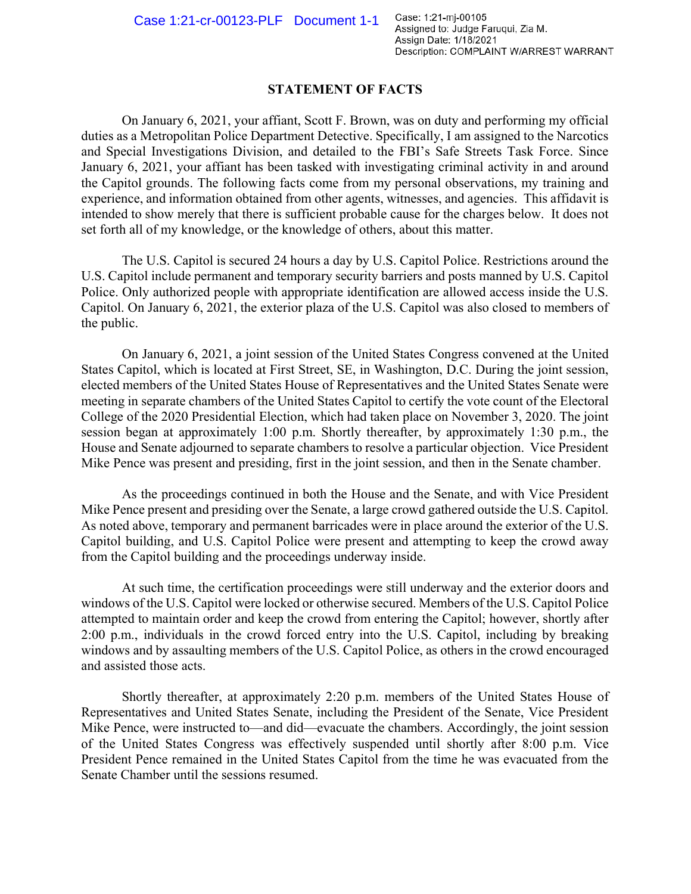## STATEMENT OF FACTS

On January 6, 2021, your affiant, Scott F. Brown, was on duty and performing my official duties as a Metropolitan Police Department Detective. Specifically, I am assigned to the Narcotics and Special Investigations Division, and detailed to the FBI's Safe Streets Task Force. Since January 6, 2021, your affiant has been tasked with investigating criminal activity in and around the Capitol grounds. The following facts come from my personal observations, my training and experience, and information obtained from other agents, witnesses, and agencies. This affidavit is intended to show merely that there is sufficient probable cause for the charges below. It does not set forth all of my knowledge, or the knowledge of others, about this matter.

The U.S. Capitol is secured 24 hours a day by U.S. Capitol Police. Restrictions around the U.S. Capitol include permanent and temporary security barriers and posts manned by U.S. Capitol Police. Only authorized people with appropriate identification are allowed access inside the U.S. Capitol. On January 6, 2021, the exterior plaza of the U.S. Capitol was also closed to members of the public.

On January 6, 2021, a joint session of the United States Congress convened at the United States Capitol, which is located at First Street, SE, in Washington, D.C. During the joint session, elected members of the United States House of Representatives and the United States Senate were meeting in separate chambers of the United States Capitol to certify the vote count of the Electoral College of the 2020 Presidential Election, which had taken place on November 3, 2020. The joint session began at approximately 1:00 p.m. Shortly thereafter, by approximately 1:30 p.m., the House and Senate adjourned to separate chambers to resolve a particular objection. Vice President Mike Pence was present and presiding, first in the joint session, and then in the Senate chamber.

As the proceedings continued in both the House and the Senate, and with Vice President Mike Pence present and presiding over the Senate, a large crowd gathered outside the U.S. Capitol. As noted above, temporary and permanent barricades were in place around the exterior of the U.S. Capitol building, and U.S. Capitol Police were present and attempting to keep the crowd away from the Capitol building and the proceedings underway inside.

At such time, the certification proceedings were still underway and the exterior doors and windows of the U.S. Capitol were locked or otherwise secured. Members of the U.S. Capitol Police attempted to maintain order and keep the crowd from entering the Capitol; however, shortly after 2:00 p.m., individuals in the crowd forced entry into the U.S. Capitol, including by breaking windows and by assaulting members of the U.S. Capitol Police, as others in the crowd encouraged and assisted those acts.

Shortly thereafter, at approximately 2:20 p.m. members of the United States House of Representatives and United States Senate, including the President of the Senate, Vice President Mike Pence, were instructed to—and did—evacuate the chambers. Accordingly, the joint session of the United States Congress was effectively suspended until shortly after 8:00 p.m. Vice President Pence remained in the United States Capitol from the time he was evacuated from the Senate Chamber until the sessions resumed.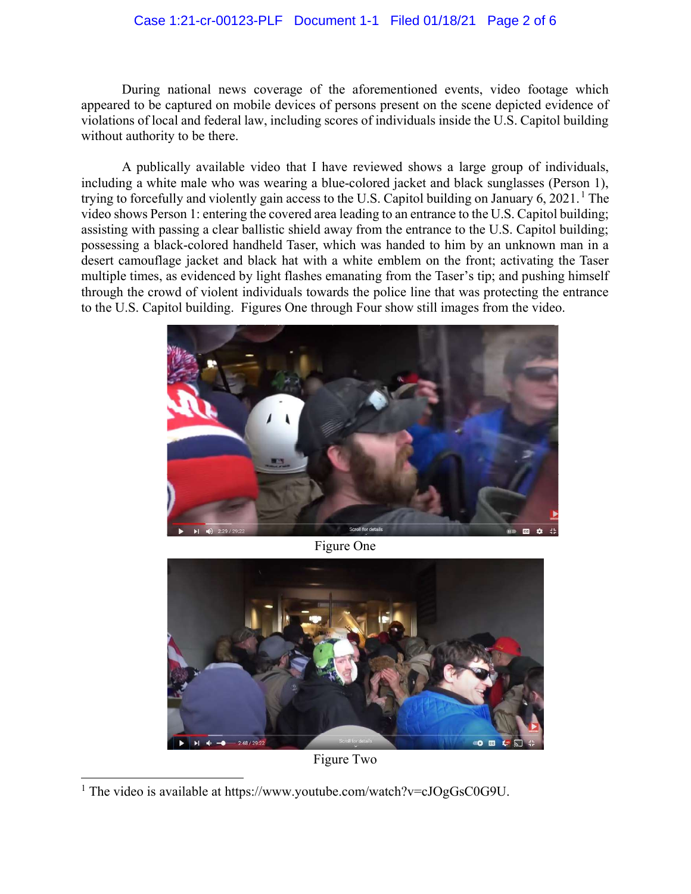## Case 1:21-cr-00123-PLF Document 1-1 Filed 01/18/21 Page 2 of 6

During national news coverage of the aforementioned events, video footage which appeared to be captured on mobile devices of persons present on the scene depicted evidence of violations of local and federal law, including scores of individuals inside the U.S. Capitol building without authority to be there.

A publically available video that I have reviewed shows a large group of individuals, including a white male who was wearing a blue-colored jacket and black sunglasses (Person 1), trying to forcefully and violently gain access to the U.S. Capitol building on January  $6, 2021$ . The video shows Person 1: entering the covered area leading to an entrance to the U.S. Capitol building; assisting with passing a clear ballistic shield away from the entrance to the U.S. Capitol building; possessing a black-colored handheld Taser, which was handed to him by an unknown man in a desert camouflage jacket and black hat with a white emblem on the front; activating the Taser multiple times, as evidenced by light flashes emanating from the Taser's tip; and pushing himself through the crowd of violent individuals towards the police line that was protecting the entrance to the U.S. Capitol building. Figures One through Four show still images from the video.



Figure One



Figure Two

<sup>&</sup>lt;sup>1</sup> The video is available at https://www.youtube.com/watch?v= $cJOgGsC0G9U$ .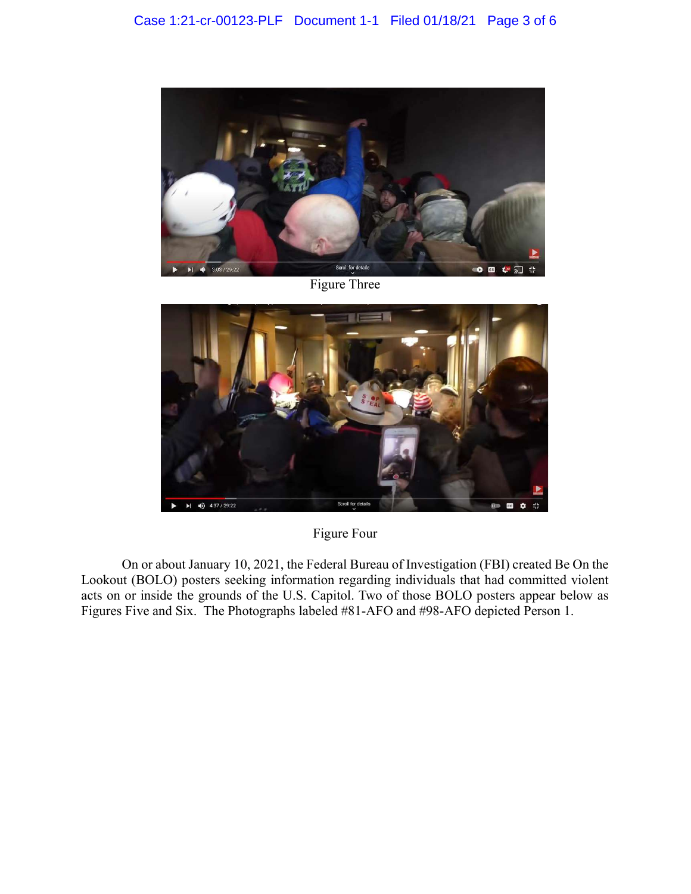

Figure Three



Figure Four

On or about January 10, 2021, the Federal Bureau of Investigation (FBI) created Be On the Lookout (BOLO) posters seeking information regarding individuals that had committed violent acts on or inside the grounds of the U.S. Capitol. Two of those BOLO posters appear below as Figures Five and Six. The Photographs labeled #81-AFO and #98-AFO depicted Person 1.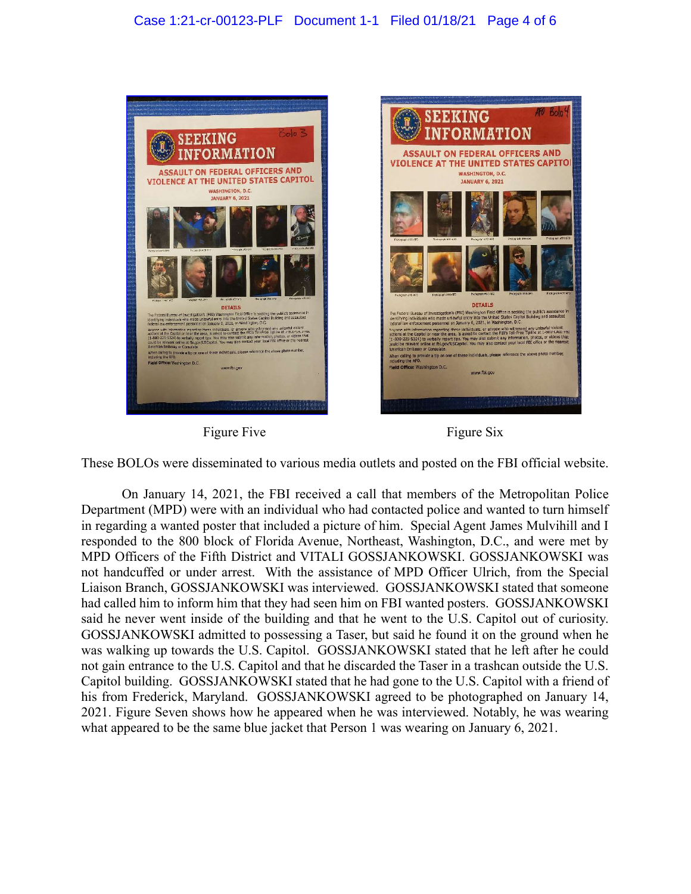## Case 1:21-cr-00123-PLF Document 1-1 Filed 01/18/21 Page 4 of 6



Figure Five Figure Six



These BOLOs were disseminated to various media outlets and posted on the FBI official website.

On January 14, 2021, the FBI received a call that members of the Metropolitan Police Department (MPD) were with an individual who had contacted police and wanted to turn himself in regarding a wanted poster that included a picture of him. Special Agent James Mulvihill and I responded to the 800 block of Florida Avenue, Northeast, Washington, D.C., and were met by MPD Officers of the Fifth District and VITALI GOSSJANKOWSKI. GOSSJANKOWSKI was not handcuffed or under arrest. With the assistance of MPD Officer Ulrich, from the Special Liaison Branch, GOSSJANKOWSKI was interviewed. GOSSJANKOWSKI stated that someone had called him to inform him that they had seen him on FBI wanted posters. GOSSJANKOWSKI said he never went inside of the building and that he went to the U.S. Capitol out of curiosity. GOSSJANKOWSKI admitted to possessing a Taser, but said he found it on the ground when he was walking up towards the U.S. Capitol. GOSSJANKOWSKI stated that he left after he could not gain entrance to the U.S. Capitol and that he discarded the Taser in a trashcan outside the U.S. Capitol building. GOSSJANKOWSKI stated that he had gone to the U.S. Capitol with a friend of his from Frederick, Maryland. GOSSJANKOWSKI agreed to be photographed on January 14, 2021. Figure Seven shows how he appeared when he was interviewed. Notably, he was wearing what appeared to be the same blue jacket that Person 1 was wearing on January 6, 2021.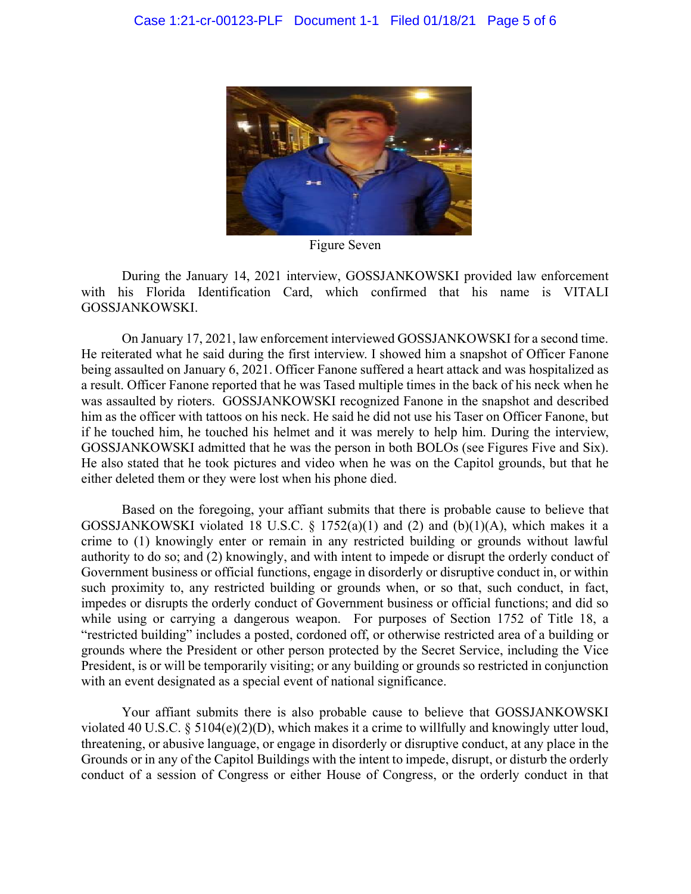

Figure Seven

During the January 14, 2021 interview, GOSSJANKOWSKI provided law enforcement with his Florida Identification Card, which confirmed that his name is VITALI GOSSJANKOWSKI.

On January 17, 2021, law enforcement interviewed GOSSJANKOWSKI for a second time. He reiterated what he said during the first interview. I showed him a snapshot of Officer Fanone being assaulted on January 6, 2021. Officer Fanone suffered a heart attack and was hospitalized as a result. Officer Fanone reported that he was Tased multiple times in the back of his neck when he was assaulted by rioters. GOSSJANKOWSKI recognized Fanone in the snapshot and described him as the officer with tattoos on his neck. He said he did not use his Taser on Officer Fanone, but if he touched him, he touched his helmet and it was merely to help him. During the interview, GOSSJANKOWSKI admitted that he was the person in both BOLOs (see Figures Five and Six). He also stated that he took pictures and video when he was on the Capitol grounds, but that he either deleted them or they were lost when his phone died.

Based on the foregoing, your affiant submits that there is probable cause to believe that GOSSJANKOWSKI violated 18 U.S.C. § 1752(a)(1) and (2) and (b)(1)(A), which makes it a crime to (1) knowingly enter or remain in any restricted building or grounds without lawful authority to do so; and (2) knowingly, and with intent to impede or disrupt the orderly conduct of Government business or official functions, engage in disorderly or disruptive conduct in, or within such proximity to, any restricted building or grounds when, or so that, such conduct, in fact, impedes or disrupts the orderly conduct of Government business or official functions; and did so while using or carrying a dangerous weapon. For purposes of Section 1752 of Title 18, a "restricted building" includes a posted, cordoned off, or otherwise restricted area of a building or grounds where the President or other person protected by the Secret Service, including the Vice President, is or will be temporarily visiting; or any building or grounds so restricted in conjunction with an event designated as a special event of national significance.

Your affiant submits there is also probable cause to believe that GOSSJANKOWSKI violated 40 U.S.C. § 5104(e)(2)(D), which makes it a crime to willfully and knowingly utter loud, threatening, or abusive language, or engage in disorderly or disruptive conduct, at any place in the Grounds or in any of the Capitol Buildings with the intent to impede, disrupt, or disturb the orderly conduct of a session of Congress or either House of Congress, or the orderly conduct in that